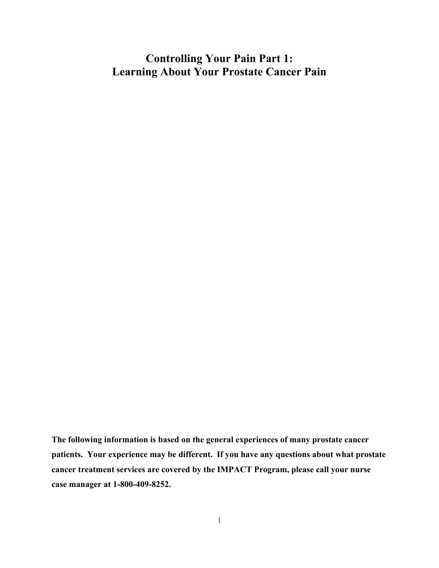## **Controlling Your Pain Part 1: Learning About Your Prostate Cancer Pain**

**The following information is based on the general experiences of many prostate cancer patients. Your experience may be different. If you have any questions about what prostate cancer treatment services are covered by the IMPACT Program, please call your nurse case manager at 1-800-409-8252.**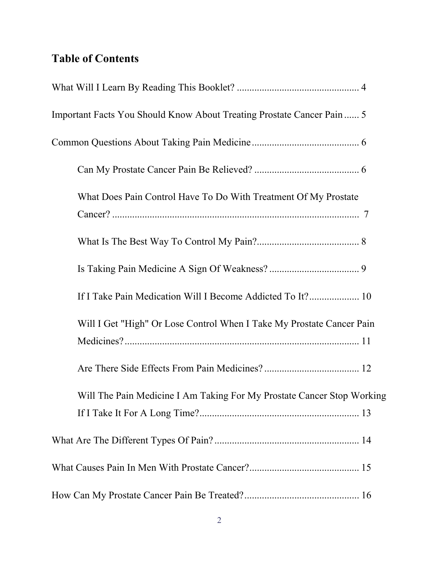# **Table of Contents**

| Important Facts You Should Know About Treating Prostate Cancer Pain  5 |  |
|------------------------------------------------------------------------|--|
|                                                                        |  |
|                                                                        |  |
| What Does Pain Control Have To Do With Treatment Of My Prostate        |  |
|                                                                        |  |
|                                                                        |  |
| If I Take Pain Medication Will I Become Addicted To It? 10             |  |
| Will I Get "High" Or Lose Control When I Take My Prostate Cancer Pain  |  |
|                                                                        |  |
| Will The Pain Medicine I Am Taking For My Prostate Cancer Stop Working |  |
|                                                                        |  |
|                                                                        |  |
|                                                                        |  |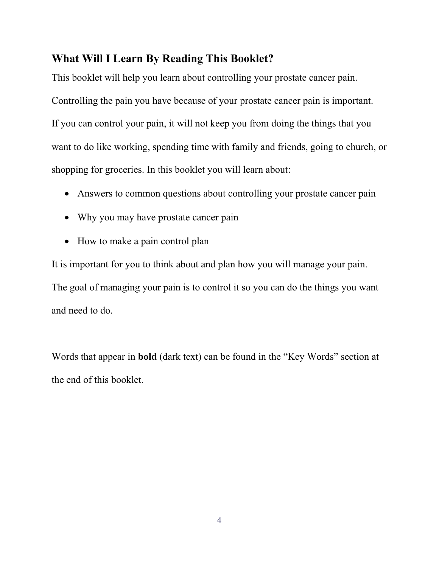### **What Will I Learn By Reading This Booklet?**

This booklet will help you learn about controlling your prostate cancer pain. Controlling the pain you have because of your prostate cancer pain is important. If you can control your pain, it will not keep you from doing the things that you want to do like working, spending time with family and friends, going to church, or shopping for groceries. In this booklet you will learn about:

- Answers to common questions about controlling your prostate cancer pain
- Why you may have prostate cancer pain
- How to make a pain control plan

It is important for you to think about and plan how you will manage your pain. The goal of managing your pain is to control it so you can do the things you want and need to do.

Words that appear in **bold** (dark text) can be found in the "Key Words" section at the end of this booklet.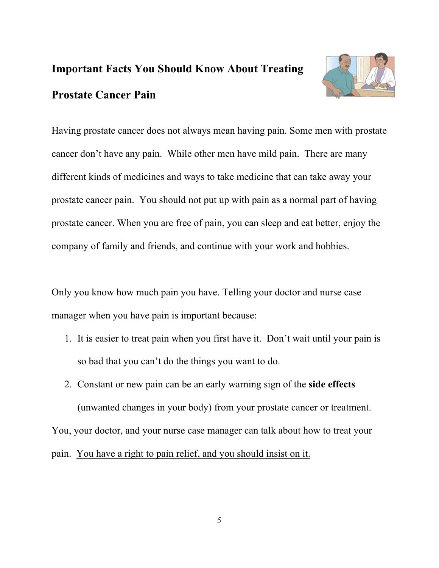# **Important Facts You Should Know About Treating Prostate Cancer Pain**



Having prostate cancer does not always mean having pain. Some men with prostate cancer don't have any pain. While other men have mild pain. There are many different kinds of medicines and ways to take medicine that can take away your prostate cancer pain. You should not put up with pain as a normal part of having prostate cancer. When you are free of pain, you can sleep and eat better, enjoy the company of family and friends, and continue with your work and hobbies.

Only you know how much pain you have. Telling your doctor and nurse case manager when you have pain is important because:

- 1. It is easier to treat pain when you first have it. Don't wait until your pain is so bad that you can't do the things you want to do.
- 2. Constant or new pain can be an early warning sign of the **side effects** (unwanted changes in your body) from your prostate cancer or treatment. You, your doctor, and your nurse case manager can talk about how to treat your pain. You have a right to pain relief, and you should insist on it.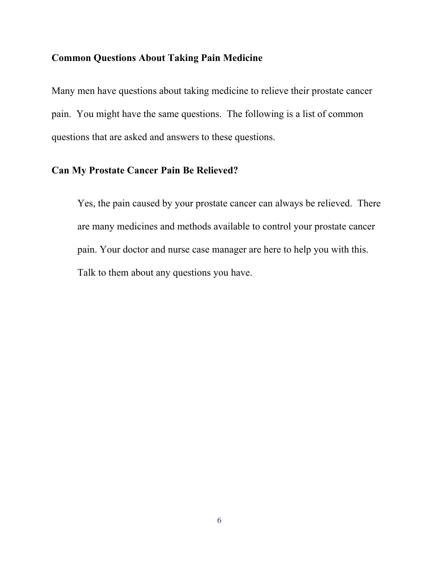### **Common Questions About Taking Pain Medicine**

Many men have questions about taking medicine to relieve their prostate cancer pain. You might have the same questions. The following is a list of common questions that are asked and answers to these questions.

### **Can My Prostate Cancer Pain Be Relieved?**

Yes, the pain caused by your prostate cancer can always be relieved. There are many medicines and methods available to control your prostate cancer pain. Your doctor and nurse case manager are here to help you with this. Talk to them about any questions you have.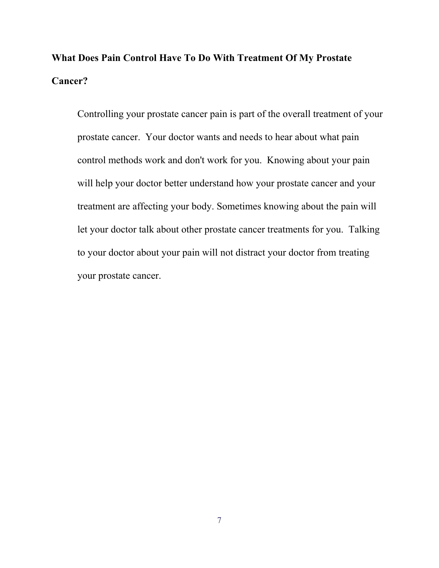# **What Does Pain Control Have To Do With Treatment Of My Prostate Cancer?**

Controlling your prostate cancer pain is part of the overall treatment of your prostate cancer. Your doctor wants and needs to hear about what pain control methods work and don't work for you. Knowing about your pain will help your doctor better understand how your prostate cancer and your treatment are affecting your body. Sometimes knowing about the pain will let your doctor talk about other prostate cancer treatments for you. Talking to your doctor about your pain will not distract your doctor from treating your prostate cancer.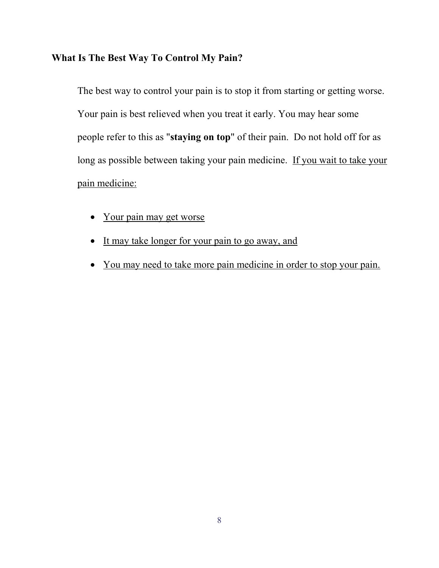## **What Is The Best Way To Control My Pain?**

The best way to control your pain is to stop it from starting or getting worse. Your pain is best relieved when you treat it early. You may hear some people refer to this as "**staying on top**" of their pain. Do not hold off for as long as possible between taking your pain medicine. If you wait to take your pain medicine:

- Your pain may get worse
- It may take longer for your pain to go away, and
- You may need to take more pain medicine in order to stop your pain.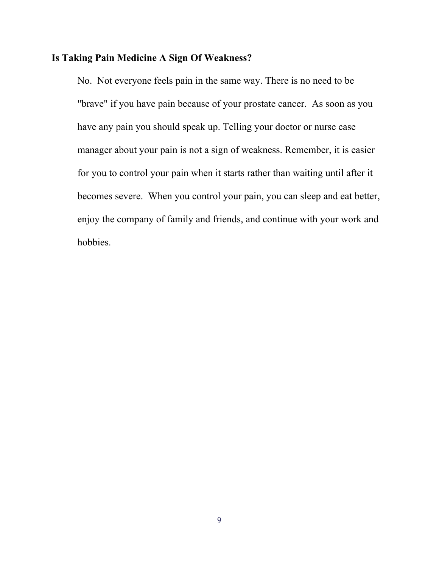### **Is Taking Pain Medicine A Sign Of Weakness?**

No. Not everyone feels pain in the same way. There is no need to be "brave" if you have pain because of your prostate cancer. As soon as you have any pain you should speak up. Telling your doctor or nurse case manager about your pain is not a sign of weakness. Remember, it is easier for you to control your pain when it starts rather than waiting until after it becomes severe. When you control your pain, you can sleep and eat better, enjoy the company of family and friends, and continue with your work and hobbies.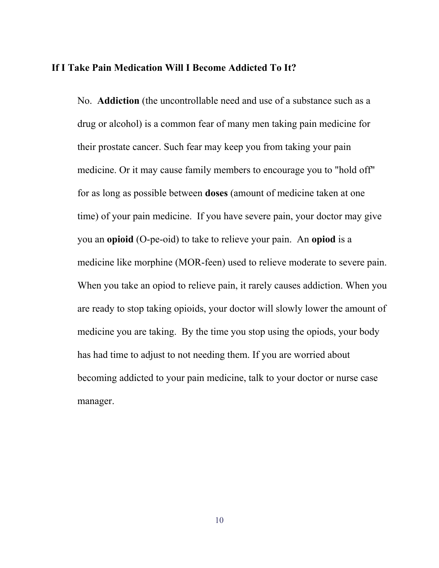#### **If I Take Pain Medication Will I Become Addicted To It?**

No. **Addiction** (the uncontrollable need and use of a substance such as a drug or alcohol) is a common fear of many men taking pain medicine for their prostate cancer. Such fear may keep you from taking your pain medicine. Or it may cause family members to encourage you to "hold off" for as long as possible between **doses** (amount of medicine taken at one time) of your pain medicine. If you have severe pain, your doctor may give you an **opioid** (O-pe-oid) to take to relieve your pain. An **opiod** is a medicine like morphine (MOR-feen) used to relieve moderate to severe pain. When you take an opiod to relieve pain, it rarely causes addiction. When you are ready to stop taking opioids, your doctor will slowly lower the amount of medicine you are taking. By the time you stop using the opiods, your body has had time to adjust to not needing them. If you are worried about becoming addicted to your pain medicine, talk to your doctor or nurse case manager.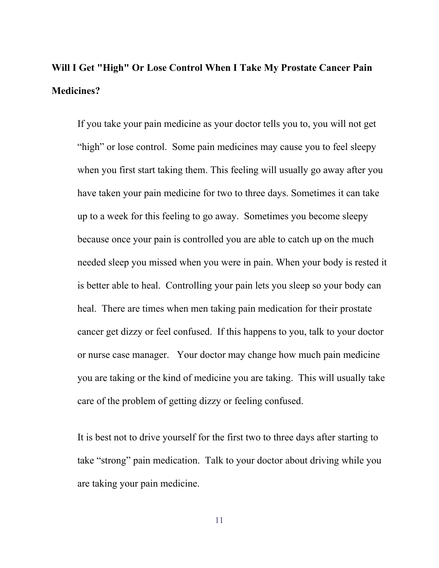# **Will I Get "High" Or Lose Control When I Take My Prostate Cancer Pain Medicines?**

If you take your pain medicine as your doctor tells you to, you will not get "high" or lose control. Some pain medicines may cause you to feel sleepy when you first start taking them. This feeling will usually go away after you have taken your pain medicine for two to three days. Sometimes it can take up to a week for this feeling to go away. Sometimes you become sleepy because once your pain is controlled you are able to catch up on the much needed sleep you missed when you were in pain. When your body is rested it is better able to heal. Controlling your pain lets you sleep so your body can heal. There are times when men taking pain medication for their prostate cancer get dizzy or feel confused. If this happens to you, talk to your doctor or nurse case manager. Your doctor may change how much pain medicine you are taking or the kind of medicine you are taking. This will usually take care of the problem of getting dizzy or feeling confused.

It is best not to drive yourself for the first two to three days after starting to take "strong" pain medication. Talk to your doctor about driving while you are taking your pain medicine.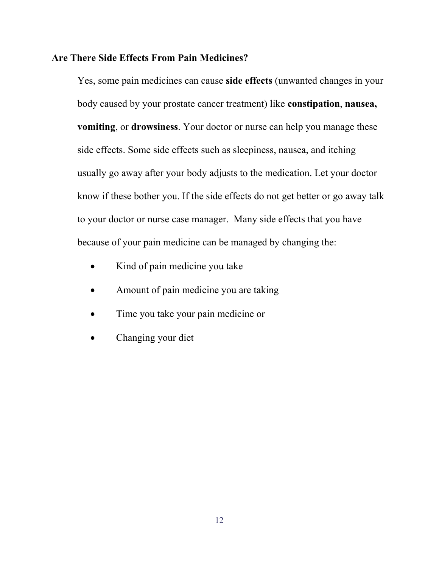#### **Are There Side Effects From Pain Medicines?**

Yes, some pain medicines can cause **side effects** (unwanted changes in your body caused by your prostate cancer treatment) like **constipation**, **nausea, vomiting**, or **drowsiness**. Your doctor or nurse can help you manage these side effects. Some side effects such as sleepiness, nausea, and itching usually go away after your body adjusts to the medication. Let your doctor know if these bother you. If the side effects do not get better or go away talk to your doctor or nurse case manager. Many side effects that you have because of your pain medicine can be managed by changing the:

- Kind of pain medicine you take
- Amount of pain medicine you are taking
- Time you take your pain medicine or
- Changing your diet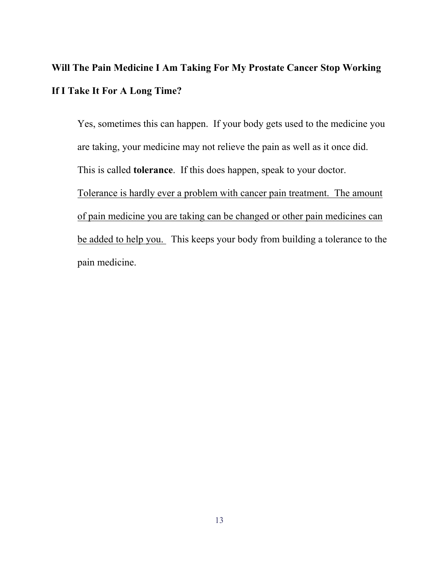# **Will The Pain Medicine I Am Taking For My Prostate Cancer Stop Working If I Take It For A Long Time?**

Yes, sometimes this can happen. If your body gets used to the medicine you are taking, your medicine may not relieve the pain as well as it once did. This is called **tolerance**. If this does happen, speak to your doctor. Tolerance is hardly ever a problem with cancer pain treatment. The amount of pain medicine you are taking can be changed or other pain medicines can be added to help you. This keeps your body from building a tolerance to the pain medicine.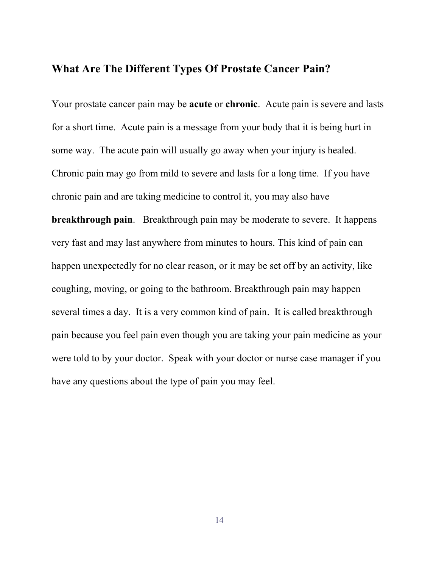## **What Are The Different Types Of Prostate Cancer Pain?**

Your prostate cancer pain may be **acute** or **chronic**. Acute pain is severe and lasts for a short time. Acute pain is a message from your body that it is being hurt in some way. The acute pain will usually go away when your injury is healed. Chronic pain may go from mild to severe and lasts for a long time. If you have chronic pain and are taking medicine to control it, you may also have **breakthrough pain**. Breakthrough pain may be moderate to severe. It happens very fast and may last anywhere from minutes to hours. This kind of pain can happen unexpectedly for no clear reason, or it may be set off by an activity, like coughing, moving, or going to the bathroom. Breakthrough pain may happen several times a day. It is a very common kind of pain. It is called breakthrough pain because you feel pain even though you are taking your pain medicine as your were told to by your doctor. Speak with your doctor or nurse case manager if you have any questions about the type of pain you may feel.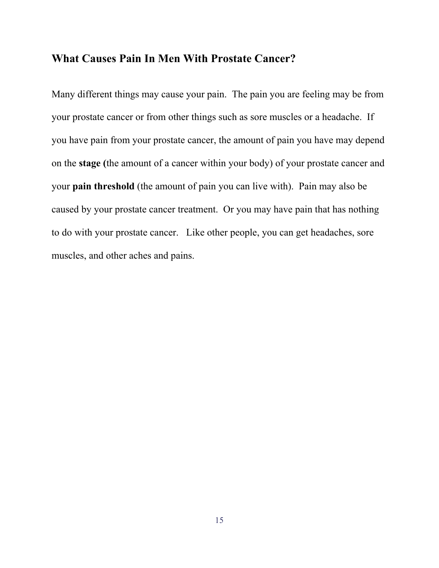## **What Causes Pain In Men With Prostate Cancer?**

Many different things may cause your pain. The pain you are feeling may be from your prostate cancer or from other things such as sore muscles or a headache. If you have pain from your prostate cancer, the amount of pain you have may depend on the **stage (**the amount of a cancer within your body) of your prostate cancer and your **pain threshold** (the amount of pain you can live with). Pain may also be caused by your prostate cancer treatment. Or you may have pain that has nothing to do with your prostate cancer. Like other people, you can get headaches, sore muscles, and other aches and pains.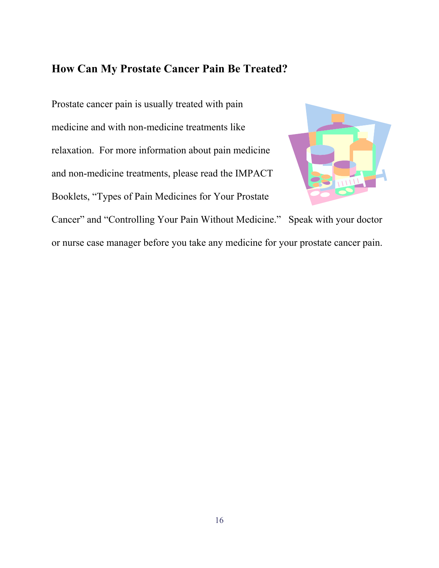## **How Can My Prostate Cancer Pain Be Treated?**

Prostate cancer pain is usually treated with pain medicine and with non-medicine treatments like relaxation. For more information about pain medicine and non-medicine treatments, please read the IMPACT Booklets, "Types of Pain Medicines for Your Prostate Cancer" and "Controlling Your Pain Without Medicine." Speak with your doctor or nurse case manager before you take any medicine for your prostate cancer pain.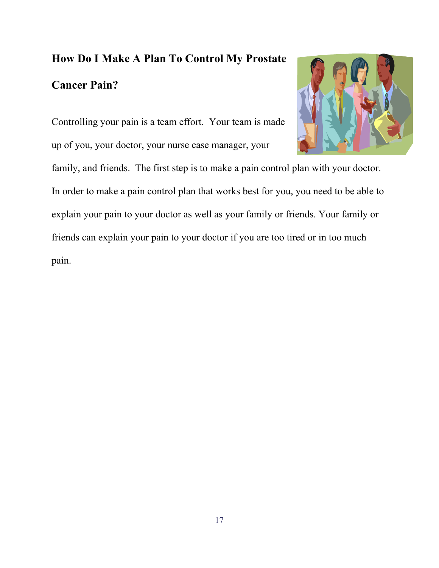# **How Do I Make A Plan To Control My Prostate Cancer Pain?**

Controlling your pain is a team effort. Your team is made up of you, your doctor, your nurse case manager, your

family, and friends. The first step is to make a pain control plan with your doctor. In order to make a pain control plan that works best for you, you need to be able to explain your pain to your doctor as well as your family or friends. Your family or friends can explain your pain to your doctor if you are too tired or in too much pain.

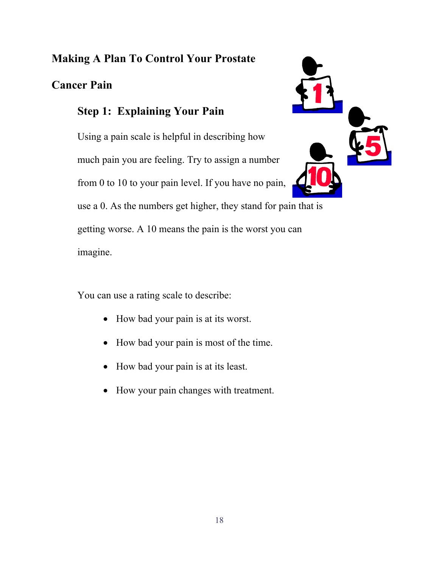## **Making A Plan To Control Your Prostate**

## **Cancer Pain**

## **Step 1: Explaining Your Pain**

Using a pain scale is helpful in describing how much pain you are feeling. Try to assign a number from 0 to 10 to your pain level. If you have no pain,



use a 0. As the numbers get higher, they stand for pain that is getting worse. A 10 means the pain is the worst you can

imagine.

You can use a rating scale to describe:

- How bad your pain is at its worst.
- How bad your pain is most of the time.
- How bad your pain is at its least.
- How your pain changes with treatment.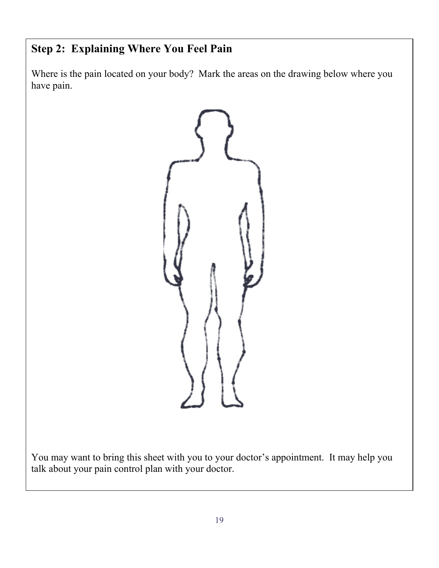# **Step 2: Explaining Where You Feel Pain**

Where is the pain located on your body? Mark the areas on the drawing below where you have pain.



You may want to bring this sheet with you to your doctor's appointment. It may help you talk about your pain control plan with your doctor.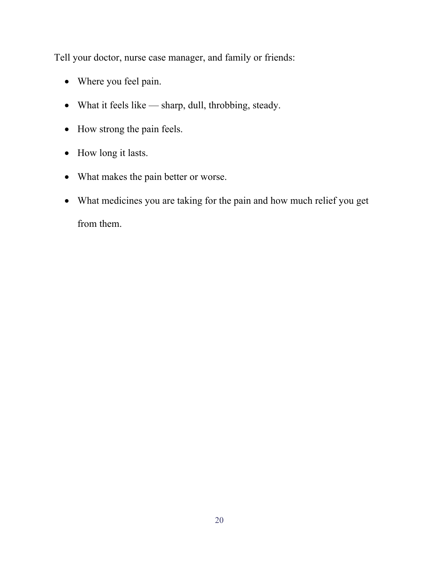Tell your doctor, nurse case manager, and family or friends:

- Where you feel pain.
- What it feels like sharp, dull, throbbing, steady.
- How strong the pain feels.
- How long it lasts.
- What makes the pain better or worse.
- What medicines you are taking for the pain and how much relief you get from them.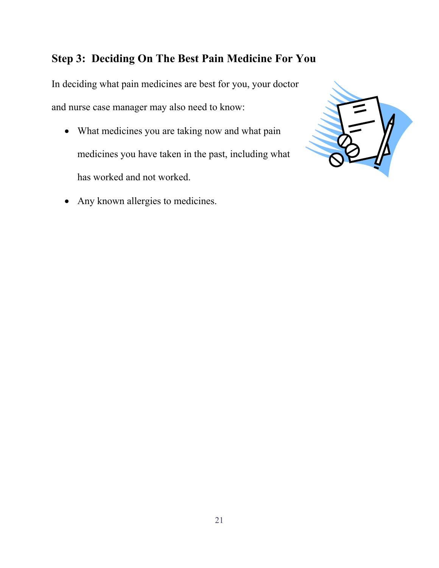## **Step 3: Deciding On The Best Pain Medicine For You**

In deciding what pain medicines are best for you, your doctor and nurse case manager may also need to know:

- What medicines you are taking now and what pain medicines you have taken in the past, including what has worked and not worked.
- Any known allergies to medicines.

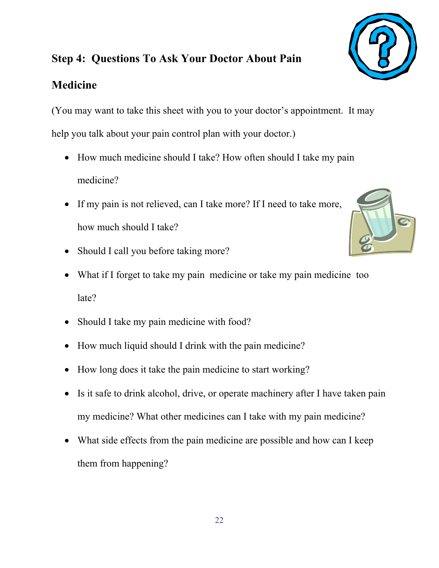## **Step 4: Questions To Ask Your Doctor About Pain**

## **Medicine**

(You may want to take this sheet with you to your doctor's appointment. It may help you talk about your pain control plan with your doctor.)

- How much medicine should I take? How often should I take my pain medicine?
- If my pain is not relieved, can I take more? If I need to take more, how much should I take?
- Should I call you before taking more?
- What if I forget to take my pain medicine or take my pain medicine too late?
- Should I take my pain medicine with food?
- How much liquid should I drink with the pain medicine?
- How long does it take the pain medicine to start working?
- Is it safe to drink alcohol, drive, or operate machinery after I have taken pain my medicine? What other medicines can I take with my pain medicine?
- What side effects from the pain medicine are possible and how can I keep them from happening?



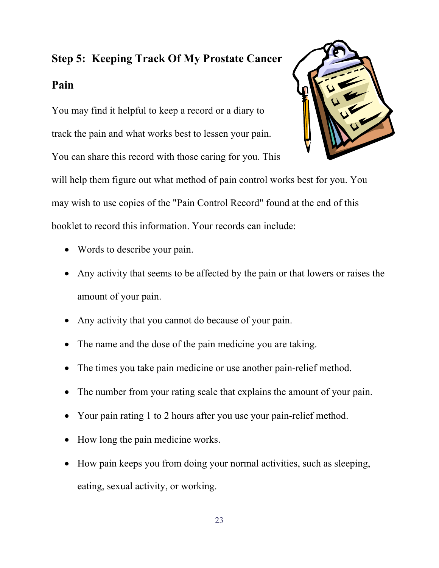# **Step 5: Keeping Track Of My Prostate Cancer Pain**

You may find it helpful to keep a record or a diary to track the pain and what works best to lessen your pain.

You can share this record with those caring for you. This



will help them figure out what method of pain control works best for you. You may wish to use copies of the "Pain Control Record" found at the end of this booklet to record this information. Your records can include:

- Words to describe your pain.
- Any activity that seems to be affected by the pain or that lowers or raises the amount of your pain.
- Any activity that you cannot do because of your pain.
- The name and the dose of the pain medicine you are taking.
- The times you take pain medicine or use another pain-relief method.
- The number from your rating scale that explains the amount of your pain.
- Your pain rating 1 to 2 hours after you use your pain-relief method.
- How long the pain medicine works.
- How pain keeps you from doing your normal activities, such as sleeping, eating, sexual activity, or working.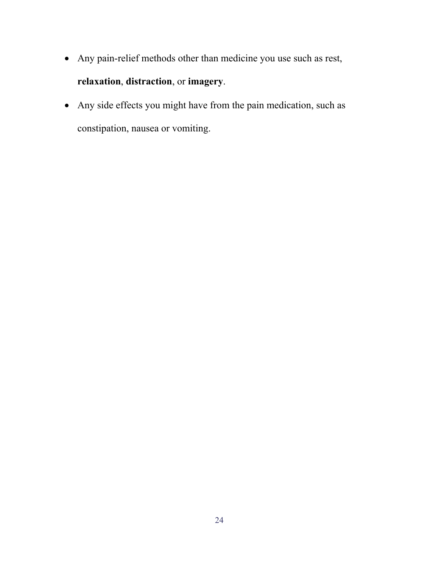- Any pain-relief methods other than medicine you use such as rest, **relaxation**, **distraction**, or **imagery**.
- Any side effects you might have from the pain medication, such as constipation, nausea or vomiting.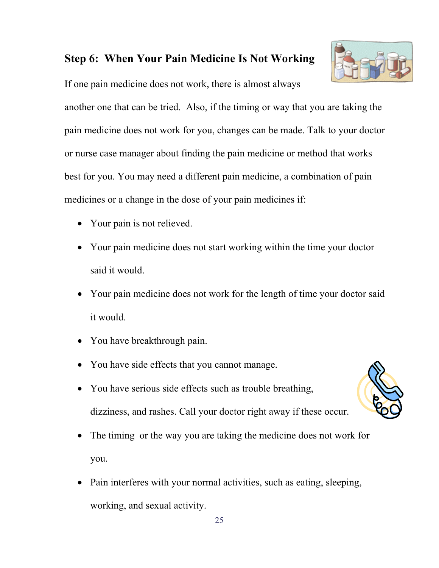## **Step 6: When Your Pain Medicine Is Not Working**

If one pain medicine does not work, there is almost always

another one that can be tried. Also, if the timing or way that you are taking the pain medicine does not work for you, changes can be made. Talk to your doctor or nurse case manager about finding the pain medicine or method that works best for you. You may need a different pain medicine, a combination of pain medicines or a change in the dose of your pain medicines if:

- Your pain is not relieved.
- Your pain medicine does not start working within the time your doctor said it would.
- Your pain medicine does not work for the length of time your doctor said it would.
- You have breakthrough pain.
- You have side effects that you cannot manage.
- You have serious side effects such as trouble breathing, dizziness, and rashes. Call your doctor right away if these occur.
- The timing or the way you are taking the medicine does not work for you.
- Pain interferes with your normal activities, such as eating, sleeping, working, and sexual activity.

25



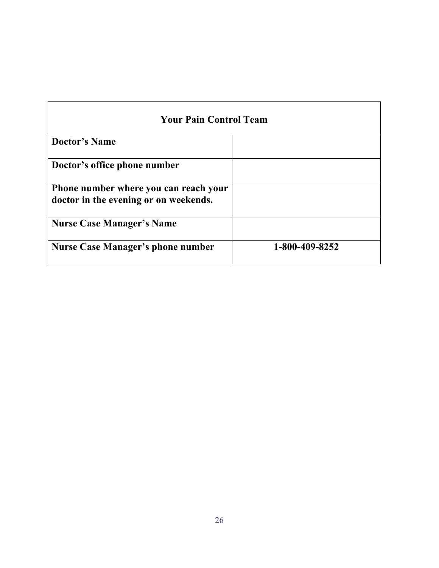| <b>Your Pain Control Team</b>                                                  |                |  |  |  |  |  |  |
|--------------------------------------------------------------------------------|----------------|--|--|--|--|--|--|
| <b>Doctor's Name</b>                                                           |                |  |  |  |  |  |  |
| Doctor's office phone number                                                   |                |  |  |  |  |  |  |
| Phone number where you can reach your<br>doctor in the evening or on weekends. |                |  |  |  |  |  |  |
| <b>Nurse Case Manager's Name</b>                                               |                |  |  |  |  |  |  |
| <b>Nurse Case Manager's phone number</b>                                       | 1-800-409-8252 |  |  |  |  |  |  |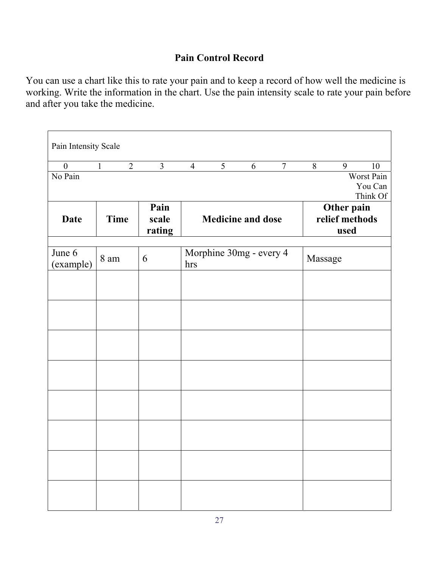## **Pain Control Record**

You can use a chart like this to rate your pain and to keep a record of how well the medicine is working. Write the information in the chart. Use the pain intensity scale to rate your pain before and after you take the medicine.

| Pain Intensity Scale |              |                |                |                          |   |                         |                |         |            |            |
|----------------------|--------------|----------------|----------------|--------------------------|---|-------------------------|----------------|---------|------------|------------|
| $\boldsymbol{0}$     | $\mathbf{1}$ | $\overline{2}$ | $\overline{3}$ | $\overline{4}$           | 5 | 6                       | $\overline{7}$ | 8       | 9          | 10         |
| No Pain              |              |                |                |                          |   |                         |                |         |            | Worst Pain |
|                      |              |                |                |                          |   |                         |                |         |            | You Can    |
| Think Of             |              |                |                |                          |   |                         |                |         |            |            |
|                      |              |                | Pain           |                          |   |                         |                |         | Other pain |            |
| Date                 |              | <b>Time</b>    | scale          | <b>Medicine and dose</b> |   |                         | relief methods |         |            |            |
|                      |              |                | rating         |                          |   |                         |                |         | used       |            |
|                      |              |                |                |                          |   |                         |                |         |            |            |
| June 6               | 8 am         |                | 6              |                          |   | Morphine 30mg - every 4 |                | Massage |            |            |
| (example)            |              |                |                | hrs                      |   |                         |                |         |            |            |
|                      |              |                |                |                          |   |                         |                |         |            |            |
|                      |              |                |                |                          |   |                         |                |         |            |            |
|                      |              |                |                |                          |   |                         |                |         |            |            |
|                      |              |                |                |                          |   |                         |                |         |            |            |
|                      |              |                |                |                          |   |                         |                |         |            |            |
|                      |              |                |                |                          |   |                         |                |         |            |            |
|                      |              |                |                |                          |   |                         |                |         |            |            |
|                      |              |                |                |                          |   |                         |                |         |            |            |
|                      |              |                |                |                          |   |                         |                |         |            |            |
|                      |              |                |                |                          |   |                         |                |         |            |            |
|                      |              |                |                |                          |   |                         |                |         |            |            |
|                      |              |                |                |                          |   |                         |                |         |            |            |
|                      |              |                |                |                          |   |                         |                |         |            |            |
|                      |              |                |                |                          |   |                         |                |         |            |            |
|                      |              |                |                |                          |   |                         |                |         |            |            |
|                      |              |                |                |                          |   |                         |                |         |            |            |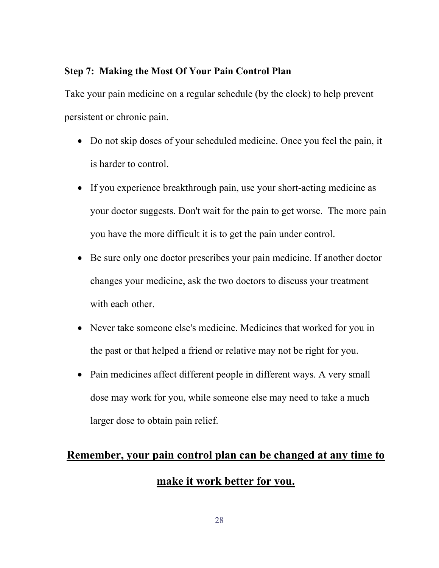#### **Step 7: Making the Most Of Your Pain Control Plan**

Take your pain medicine on a regular schedule (by the clock) to help prevent persistent or chronic pain.

- Do not skip doses of your scheduled medicine. Once you feel the pain, it is harder to control.
- If you experience breakthrough pain, use your short-acting medicine as your doctor suggests. Don't wait for the pain to get worse. The more pain you have the more difficult it is to get the pain under control.
- Be sure only one doctor prescribes your pain medicine. If another doctor changes your medicine, ask the two doctors to discuss your treatment with each other.
- Never take someone else's medicine. Medicines that worked for you in the past or that helped a friend or relative may not be right for you.
- Pain medicines affect different people in different ways. A very small dose may work for you, while someone else may need to take a much larger dose to obtain pain relief.

# **Remember, your pain control plan can be changed at any time to make it work better for you.**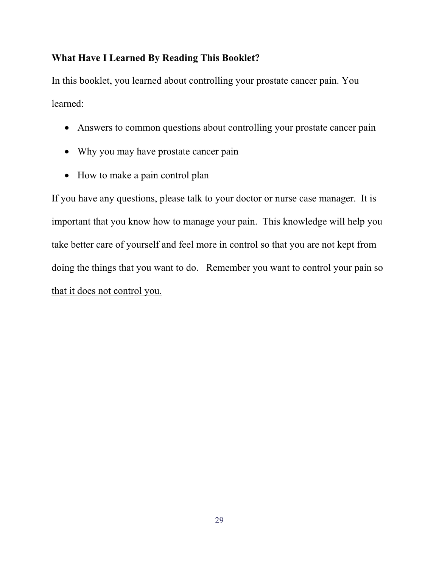### **What Have I Learned By Reading This Booklet?**

In this booklet, you learned about controlling your prostate cancer pain. You learned:

- Answers to common questions about controlling your prostate cancer pain
- Why you may have prostate cancer pain
- How to make a pain control plan

If you have any questions, please talk to your doctor or nurse case manager. It is important that you know how to manage your pain. This knowledge will help you take better care of yourself and feel more in control so that you are not kept from doing the things that you want to do. Remember you want to control your pain so that it does not control you.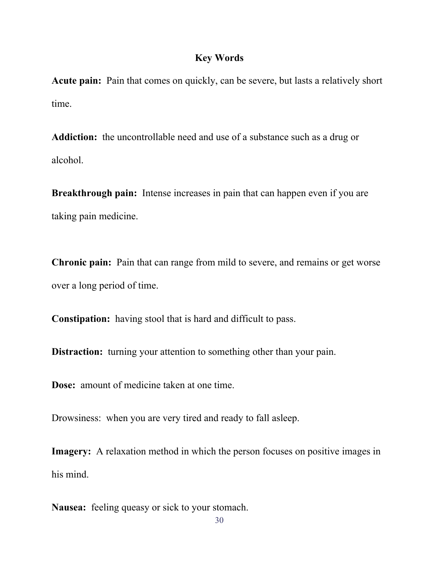#### **Key Words**

**Acute pain:** Pain that comes on quickly, can be severe, but lasts a relatively short time.

**Addiction:** the uncontrollable need and use of a substance such as a drug or alcohol.

**Breakthrough pain:** Intense increases in pain that can happen even if you are taking pain medicine.

**Chronic pain:** Pain that can range from mild to severe, and remains or get worse over a long period of time.

**Constipation:** having stool that is hard and difficult to pass.

**Distraction:** turning your attention to something other than your pain.

**Dose:** amount of medicine taken at one time.

Drowsiness: when you are very tired and ready to fall asleep.

**Imagery:** A relaxation method in which the person focuses on positive images in his mind.

**Nausea:** feeling queasy or sick to your stomach.